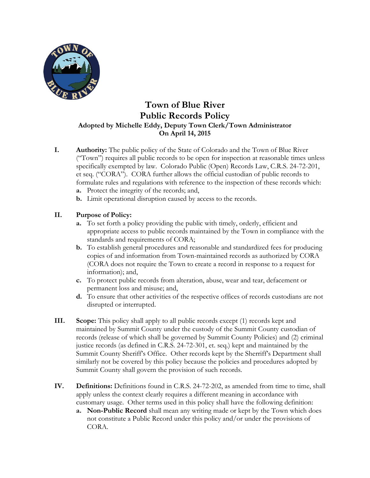

# **Town of Blue River Public Records Policy Adopted by Michelle Eddy, Deputy Town Clerk/Town Administrator On April 14, 2015**

- **I. Authority:** The public policy of the State of Colorado and the Town of Blue River ("Town") requires all public records to be open for inspection at reasonable times unless specifically exempted by law. Colorado Public (Open) Records Law, C.R.S. 24-72-201, et seq. ("CORA"). CORA further allows the official custodian of public records to formulate rules and regulations with reference to the inspection of these records which:
	- **a.** Protect the integrity of the records; and,
	- **b.** Limit operational disruption caused by access to the records.

## **II. Purpose of Policy:**

- **a.** To set forth a policy providing the public with timely, orderly, efficient and appropriate access to public records maintained by the Town in compliance with the standards and requirements of CORA;
- **b.** To establish general procedures and reasonable and standardized fees for producing copies of and information from Town-maintained records as authorized by CORA (CORA does not require the Town to create a record in response to a request for information); and,
- **c.** To protect public records from alteration, abuse, wear and tear, defacement or permanent loss and misuse; and,
- **d.** To ensure that other activities of the respective offices of records custodians are not disrupted or interrupted.
- **III. Scope:** This policy shall apply to all public records except (1) records kept and maintained by Summit County under the custody of the Summit County custodian of records (release of which shall be governed by Summit County Policies) and (2) criminal justice records (as defined in C.R.S. 24-72-301, et. seq.) kept and maintained by the Summit County Sheriff's Office. Other records kept by the Sherriff's Department shall similarly not be covered by this policy because the policies and procedures adopted by Summit County shall govern the provision of such records.
- **IV. Definitions:** Definitions found in C.R.S. 24-72-202, as amended from time to time, shall apply unless the context clearly requires a different meaning in accordance with customary usage. Other terms used in this policy shall have the following definition:
	- **a. Non-Public Record** shall mean any writing made or kept by the Town which does not constitute a Public Record under this policy and/or under the provisions of CORA.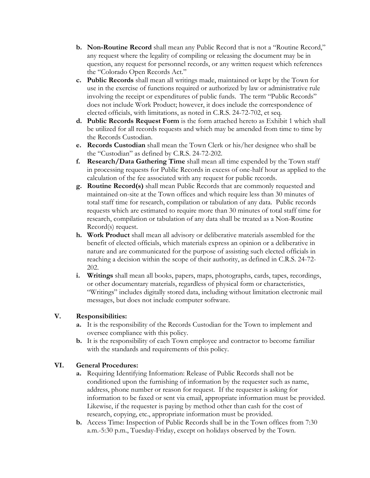- **b. Non-Routine Record** shall mean any Public Record that is not a "Routine Record," any request where the legality of compiling or releasing the document may be in question, any request for personnel records, or any written request which references the "Colorado Open Records Act."
- **c. Public Records** shall mean all writings made, maintained or kept by the Town for use in the exercise of functions required or authorized by law or administrative rule involving the receipt or expenditures of public funds. The term "Public Records" does not include Work Product; however, it does include the correspondence of elected officials, with limitations, as noted in C.R.S. 24-72-702, et seq.
- **d. Public Records Request Form** is the form attached hereto as Exhibit 1 which shall be utilized for all records requests and which may be amended from time to time by the Records Custodian.
- **e. Records Custodian** shall mean the Town Clerk or his/her designee who shall be the "Custodian" as defined by C.R.S. 24-72-202.
- **f. Research/Data Gathering Time** shall mean all time expended by the Town staff in processing requests for Public Records in excess of one-half hour as applied to the calculation of the fee associated with any request for public records.
- **g. Routine Record(s)** shall mean Public Records that are commonly requested and maintained on-site at the Town offices and which require less than 30 minutes of total staff time for research, compilation or tabulation of any data. Public records requests which are estimated to require more than 30 minutes of total staff time for research, compilation or tabulation of any data shall be treated as a Non-Routine Record(s) request.
- **h. Work Product** shall mean all advisory or deliberative materials assembled for the benefit of elected officials, which materials express an opinion or a deliberative in nature and are communicated for the purpose of assisting such elected officials in reaching a decision within the scope of their authority, as defined in C.R.S. 24-72- 202.
- **i. Writings** shall mean all books, papers, maps, photographs, cards, tapes, recordings, or other documentary materials, regardless of physical form or characteristics, "Writings" includes digitally stored data, including without limitation electronic mail messages, but does not include computer software.

## **V. Responsibilities:**

- **a.** It is the responsibility of the Records Custodian for the Town to implement and oversee compliance with this policy.
- **b.** It is the responsibility of each Town employee and contractor to become familiar with the standards and requirements of this policy.

## **VI. General Procedures:**

- **a.** Requiring Identifying Information: Release of Public Records shall not be conditioned upon the furnishing of information by the requester such as name, address, phone number or reason for request. If the requester is asking for information to be faxed or sent via email, appropriate information must be provided. Likewise, if the requester is paying by method other than cash for the cost of research, copying, etc., appropriate information must be provided.
- **b.** Access Time: Inspection of Public Records shall be in the Town offices from 7:30 a.m.-5:30 p.m., Tuesday-Friday, except on holidays observed by the Town.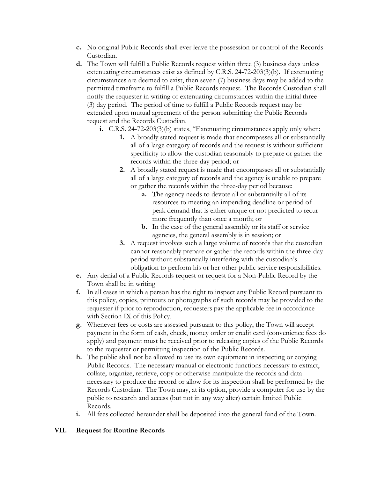- **c.** No original Public Records shall ever leave the possession or control of the Records Custodian.
- **d.** The Town will fulfill a Public Records request within three (3) business days unless extenuating circumstances exist as defined by C.R.S. 24-72-203(3)(b). If extenuating circumstances are deemed to exist, then seven (7) business days may be added to the permitted timeframe to fulfill a Public Records request. The Records Custodian shall notify the requester in writing of extenuating circumstances within the initial three (3) day period. The period of time to fulfill a Public Records request may be extended upon mutual agreement of the person submitting the Public Records request and the Records Custodian.
	- **i.** C.R.S. 24-72-203(3)(b) states, "Extenuating circumstances apply only when:
		- **1.** A broadly stated request is made that encompasses all or substantially all of a large category of records and the request is without sufficient specificity to allow the custodian reasonably to prepare or gather the records within the three-day period; or
		- **2.** A broadly stated request is made that encompasses all or substantially all of a large category of records and the agency is unable to prepare or gather the records within the three-day period because:
			- **a.** The agency needs to devote all or substantially all of its resources to meeting an impending deadline or period of peak demand that is either unique or not predicted to recur more frequently than once a month; or
			- **b.** In the case of the general assembly or its staff or service agencies, the general assembly is in session; or
		- **3.** A request involves such a large volume of records that the custodian cannot reasonably prepare or gather the records within the three-day period without substantially interfering with the custodian's obligation to perform his or her other public service responsibilities.
- **e.** Any denial of a Public Records request or request for a Non-Public Record by the Town shall be in writing
- **f.** In all cases in which a person has the right to inspect any Public Record pursuant to this policy, copies, printouts or photographs of such records may be provided to the requester if prior to reproduction, requesters pay the applicable fee in accordance with Section IX of this Policy.
- **g.** Whenever fees or costs are assessed pursuant to this policy, the Town will accept payment in the form of cash, check, money order or credit card (convenience fees do apply) and payment must be received prior to releasing copies of the Public Records to the requester or permitting inspection of the Public Records.
- **h.** The public shall not be allowed to use its own equipment in inspecting or copying Public Records. The necessary manual or electronic functions necessary to extract, collate, organize, retrieve, copy or otherwise manipulate the records and data necessary to produce the record or allow for its inspection shall be performed by the Records Custodian. The Town may, at its option, provide a computer for use by the public to research and access (but not in any way alter) certain limited Public Records.
- **i.** All fees collected hereunder shall be deposited into the general fund of the Town.

## **VII. Request for Routine Records**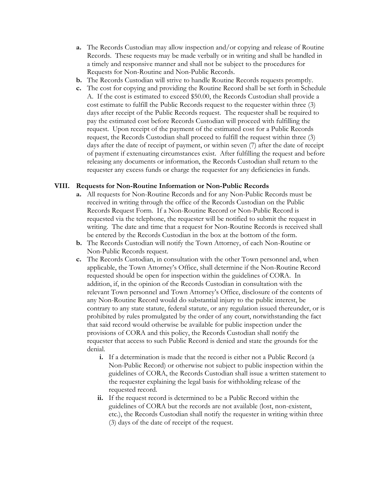- **a.** The Records Custodian may allow inspection and/or copying and release of Routine Records. These requests may be made verbally or in writing and shall be handled in a timely and responsive manner and shall not be subject to the procedures for Requests for Non-Routine and Non-Public Records.
- **b.** The Records Custodian will strive to handle Routine Records requests promptly.
- **c.** The cost for copying and providing the Routine Record shall be set forth in Schedule A. If the cost is estimated to exceed \$50.00, the Records Custodian shall provide a cost estimate to fulfill the Public Records request to the requester within three (3) days after receipt of the Public Records request. The requester shall be required to pay the estimated cost before Records Custodian will proceed with fulfilling the request. Upon receipt of the payment of the estimated cost for a Public Records request, the Records Custodian shall proceed to fulfill the request within three (3) days after the date of receipt of payment, or within seven (7) after the date of receipt of payment if extenuating circumstances exist. After fulfilling the request and before releasing any documents or information, the Records Custodian shall return to the requester any excess funds or charge the requester for any deficiencies in funds.

#### **VIII. Requests for Non-Routine Information or Non-Public Records**

- **a.** All requests for Non-Routine Records and for any Non-Public Records must be received in writing through the office of the Records Custodian on the Public Records Request Form. If a Non-Routine Record or Non-Public Record is requested via the telephone, the requester will be notified to submit the request in writing. The date and time that a request for Non-Routine Records is received shall be entered by the Records Custodian in the box at the bottom of the form.
- **b.** The Records Custodian will notify the Town Attorney, of each Non-Routine or Non-Public Records request.
- **c.** The Records Custodian, in consultation with the other Town personnel and, when applicable, the Town Attorney's Office, shall determine if the Non-Routine Record requested should be open for inspection within the guidelines of CORA. In addition, if, in the opinion of the Records Custodian in consultation with the relevant Town personnel and Town Attorney's Office, disclosure of the contents of any Non-Routine Record would do substantial injury to the public interest, be contrary to any state statute, federal statute, or any regulation issued thereunder, or is prohibited by rules promulgated by the order of any court, notwithstanding the fact that said record would otherwise be available for public inspection under the provisions of CORA and this policy, the Records Custodian shall notify the requester that access to such Public Record is denied and state the grounds for the denial.
	- **i.** If a determination is made that the record is either not a Public Record (a Non-Public Record) or otherwise not subject to public inspection within the guidelines of CORA, the Records Custodian shall issue a written statement to the requester explaining the legal basis for withholding release of the requested record.
	- **ii.** If the request record is determined to be a Public Record within the guidelines of CORA but the records are not available (lost, non-existent, etc.), the Records Custodian shall notify the requester in writing within three (3) days of the date of receipt of the request.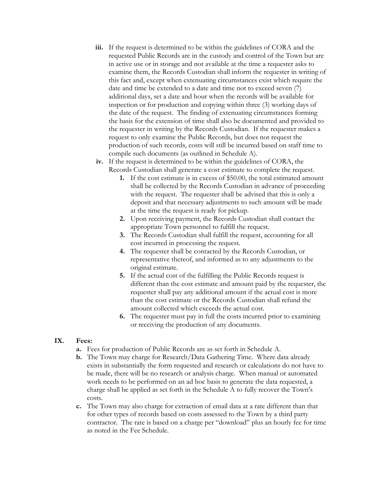- **iii.** If the request is determined to be within the guidelines of CORA and the requested Public Records are in the custody and control of the Town but are in active use or in storage and not available at the time a requester asks to examine them, the Records Custodian shall inform the requester in writing of this fact and, except when extenuating circumstances exist which require the date and time be extended to a date and time not to exceed seven (7) additional days, set a date and hour when the records will be available for inspection or for production and copying within three (3) working days of the date of the request. The finding of extenuating circumstances forming the basis for the extension of time shall also be documented and provided to the requester in writing by the Records Custodian. If the requester makes a request to only examine the Public Records, but does not request the production of such records, costs will still be incurred based on staff time to compile such documents (as outlined in Schedule A).
- **iv.** If the request is determined to be within the guidelines of CORA, the Records Custodian shall generate a cost estimate to complete the request.
	- **1.** If the cost estimate is in excess of \$50.00, the total estimated amount shall be collected by the Records Custodian in advance of proceeding with the request. The requester shall be advised that this is only a deposit and that necessary adjustments to such amount will be made at the time the request is ready for pickup.
	- **2.** Upon receiving payment, the Records Custodian shall contact the appropriate Town personnel to fulfill the request.
	- **3.** The Records Custodian shall fulfill the request, accounting for all cost incurred in processing the request.
	- **4.** The requester shall be contacted by the Records Custodian, or representative thereof, and informed as to any adjustments to the original estimate.
	- **5.** If the actual cost of the fulfilling the Public Records request is different than the cost estimate and amount paid by the requester, the requester shall pay any additional amount if the actual cost is more than the cost estimate or the Records Custodian shall refund the amount collected which exceeds the actual cost.
	- **6.** The requester must pay in full the costs incurred prior to examining or receiving the production of any documents.

## **IX. Fees:**

- **a.** Fees for production of Public Records are as set forth in Schedule A.
- **b.** The Town may charge for Research/Data Gathering Time. Where data already exists in substantially the form requested and research or calculations do not have to be made, there will be no research or analysis charge. When manual or automated work needs to be performed on an ad hoc basis to generate the data requested, a charge shall be applied as set forth in the Schedule A to fully recover the Town's costs.
- **c.** The Town may also charge for extraction of email data at a rate different than that for other types of records based on costs assessed to the Town by a third party contractor. The rate is based on a charge per "download" plus an hourly fee for time as noted in the Fee Schedule.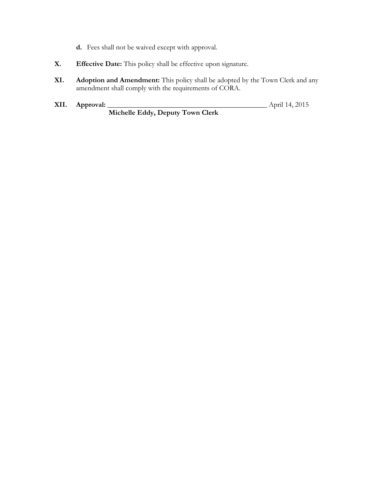- **d.** Fees shall not be waived except with approval.
- **X. Effective Date:** This policy shall be effective upon signature.
- **XI. Adoption and Amendment:** This policy shall be adopted by the Town Clerk and any amendment shall comply with the requirements of CORA.
- **XII. Approval:** \_\_\_\_\_\_\_\_\_\_\_\_\_\_\_\_\_\_\_\_\_\_\_\_\_\_\_\_\_\_\_\_\_\_\_\_\_\_\_\_\_\_\_\_ April 14, 2015 **Michelle Eddy, Deputy Town Clerk**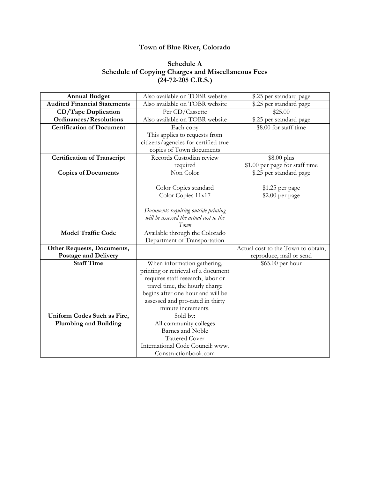## **Town of Blue River, Colorado**

## **Schedule A Schedule of Copying Charges and Miscellaneous Fees (24-72-205 C.R.S.)**

| <b>Annual Budget</b>                | Also available on TOBR website          | \$.25 per standard page            |
|-------------------------------------|-----------------------------------------|------------------------------------|
| <b>Audited Financial Statements</b> | Also available on TOBR website          | \$.25 per standard page            |
| CD/Tape Duplication                 | Per CD/Cassette                         | \$25.00                            |
| <b>Ordinances/Resolutions</b>       | Also available on TOBR website          | \$.25 per standard page            |
| <b>Certification of Document</b>    | Each copy                               | \$8.00 for staff time              |
|                                     | This applies to requests from           |                                    |
|                                     | citizens/agencies for certified true    |                                    |
|                                     | copies of Town documents                |                                    |
| <b>Certification of Transcript</b>  | Records Custodian review                | \$8.00 plus                        |
|                                     | required                                | \$1.00 per page for staff time     |
| <b>Copies of Documents</b>          | Non Color                               | \$.25 per standard page            |
|                                     |                                         |                                    |
|                                     | Color Copies standard                   | \$1.25 per page                    |
|                                     | Color Copies 11x17                      | \$2.00 per page                    |
|                                     |                                         |                                    |
|                                     | Documents requiring outside printing    |                                    |
|                                     | will be assessed the actual cost to the |                                    |
|                                     | Town                                    |                                    |
| <b>Model Traffic Code</b>           | Available through the Colorado          |                                    |
|                                     | Department of Transportation            |                                    |
| Other Requests, Documents,          |                                         | Actual cost to the Town to obtain, |
| <b>Postage and Delivery</b>         |                                         | reproduce, mail or send            |
| <b>Staff Time</b>                   | When information gathering,             | \$65.00 per hour                   |
|                                     | printing or retrieval of a document     |                                    |
|                                     | requires staff research, labor or       |                                    |
|                                     | travel time, the hourly charge          |                                    |
|                                     | begins after one hour and will be       |                                    |
|                                     | assessed and pro-rated in thirty        |                                    |
|                                     | minute increments.                      |                                    |
| Uniform Codes Such as Fire,         | Sold by:                                |                                    |
| <b>Plumbing and Building</b>        | All community colleges                  |                                    |
|                                     | <b>Barnes</b> and Noble                 |                                    |
|                                     | <b>Tattered Cover</b>                   |                                    |
|                                     | International Code Council: www.        |                                    |
|                                     | Constructionbook.com                    |                                    |